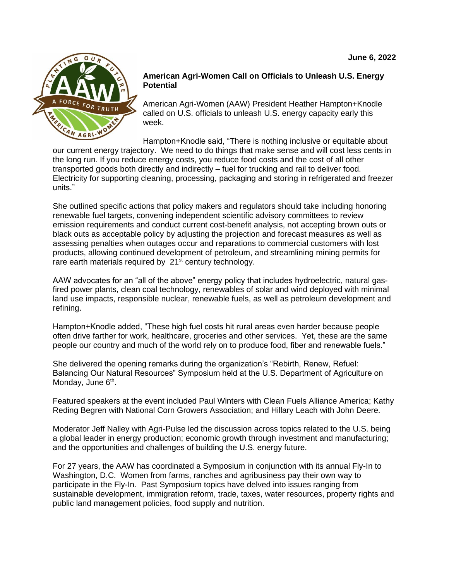

#### **American Agri-Women Call on Officials to Unleash U.S. Energy Potential**

American Agri-Women (AAW) President Heather Hampton+Knodle called on U.S. officials to unleash U.S. energy capacity early this week.

Hampton+Knodle said, "There is nothing inclusive or equitable about our current energy trajectory. We need to do things that make sense and will cost less cents in the long run. If you reduce energy costs, you reduce food costs and the cost of all other transported goods both directly and indirectly – fuel for trucking and rail to deliver food. Electricity for supporting cleaning, processing, packaging and storing in refrigerated and freezer units."

She outlined specific actions that policy makers and regulators should take including honoring renewable fuel targets, convening independent scientific advisory committees to review emission requirements and conduct current cost-benefit analysis, not accepting brown outs or black outs as acceptable policy by adjusting the projection and forecast measures as well as assessing penalties when outages occur and reparations to commercial customers with lost products, allowing continued development of petroleum, and streamlining mining permits for rare earth materials required by  $21<sup>st</sup>$  century technology.

AAW advocates for an "all of the above" energy policy that includes hydroelectric, natural gasfired power plants, clean coal technology, renewables of solar and wind deployed with minimal land use impacts, responsible nuclear, renewable fuels, as well as petroleum development and refining.

Hampton+Knodle added, "These high fuel costs hit rural areas even harder because people often drive farther for work, healthcare, groceries and other services. Yet, these are the same people our country and much of the world rely on to produce food, fiber and renewable fuels."

She delivered the opening remarks during the organization's "Rebirth, Renew, Refuel: Balancing Our Natural Resources" Symposium held at the U.S. Department of Agriculture on Monday, June 6<sup>th</sup>.

Featured speakers at the event included Paul Winters with Clean Fuels Alliance America; Kathy Reding Begren with National Corn Growers Association; and Hillary Leach with John Deere.

Moderator Jeff Nalley with Agri-Pulse led the discussion across topics related to the U.S. being a global leader in energy production; economic growth through investment and manufacturing; and the opportunities and challenges of building the U.S. energy future.

For 27 years, the AAW has coordinated a Symposium in conjunction with its annual Fly-In to Washington, D.C. Women from farms, ranches and agribusiness pay their own way to participate in the Fly-In. Past Symposium topics have delved into issues ranging from sustainable development, immigration reform, trade, taxes, water resources, property rights and public land management policies, food supply and nutrition.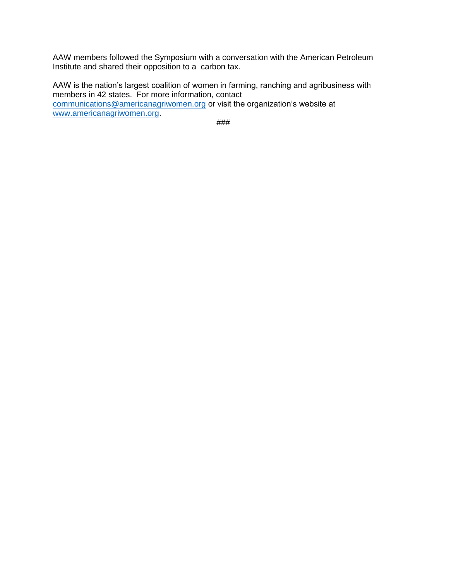AAW members followed the Symposium with a conversation with the American Petroleum Institute and shared their opposition to a carbon tax.

AAW is the nation's largest coalition of women in farming, ranching and agribusiness with members in 42 states. For more information, contact [communications@americanagriwomen.org](mailto:communications@americanagriwomen.org) or visit the organization's website at [www.americanagriwomen.org.](http://www.americanagriwomen.org/)

###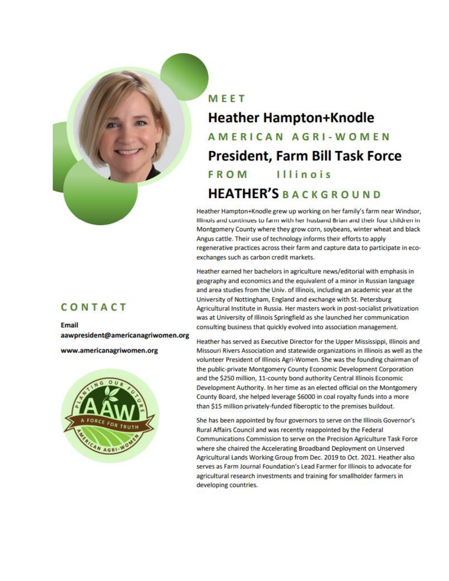

# MFFT **Heather Hampton+Knodle** AMERICAN AGRI-WOMEN **President, Farm Bill Task Force FROM** Illinois **HEATHER'S BACKGROUND**

Heather Hampton+Knodle grew up working on her family's farm near Windsor. Illinois and continues to farm with her husband Brian and their four children in Montgomery County where they grow corn, soybeans, winter wheat and black Angus cattle. Their use of technology informs their efforts to apply regenerative practices across their farm and capture data to participate in ecoexchanges such as carbon credit markets.

Heather earned her bachelors in agriculture news/editorial with emphasis in geography and economics and the equivalent of a minor in Russian language and area studies from the Univ. of Illinois, including an academic year at the University of Nottingham, England and exchange with St. Petersburg Agricultural Institute in Russia. Her masters work in post-socialist privatization was at University of Illinois Springfield as she launched her communication consulting business that quickly evolved into association management.

Heather has served as Executive Director for the Upper Mississippi, Illinois and Missouri Rivers Association and statewide organizations in Illinois as well as the volunteer President of Illinois Agri-Women. She was the founding chairman of the public-private Montgomery County Economic Development Corporation and the \$250 million, 11-county bond authority Central Illinois Economic Development Authority. In her time as an elected official on the Montgomery County Board, she helped leverage \$6000 in coal royalty funds into a more than \$15 million privately-funded fiberoptic to the premises buildout.

She has been appointed by four governors to serve on the Illinois Governor's Rural Affairs Council and was recently reappointed by the Federal Communications Commission to serve on the Precision Agriculture Task Force where she chaired the Accelerating Broadband Deployment on Unserved Agricultural Lands Working Group from Dec. 2019 to Oct. 2021. Heather also serves as Farm Journal Foundation's Lead Farmer for Illinois to advocate for agricultural research investments and training for smallholder farmers in developing countries.

### CONTACT

Email aawpresident@americanagriwomen.org

www.americanagriwomen.org